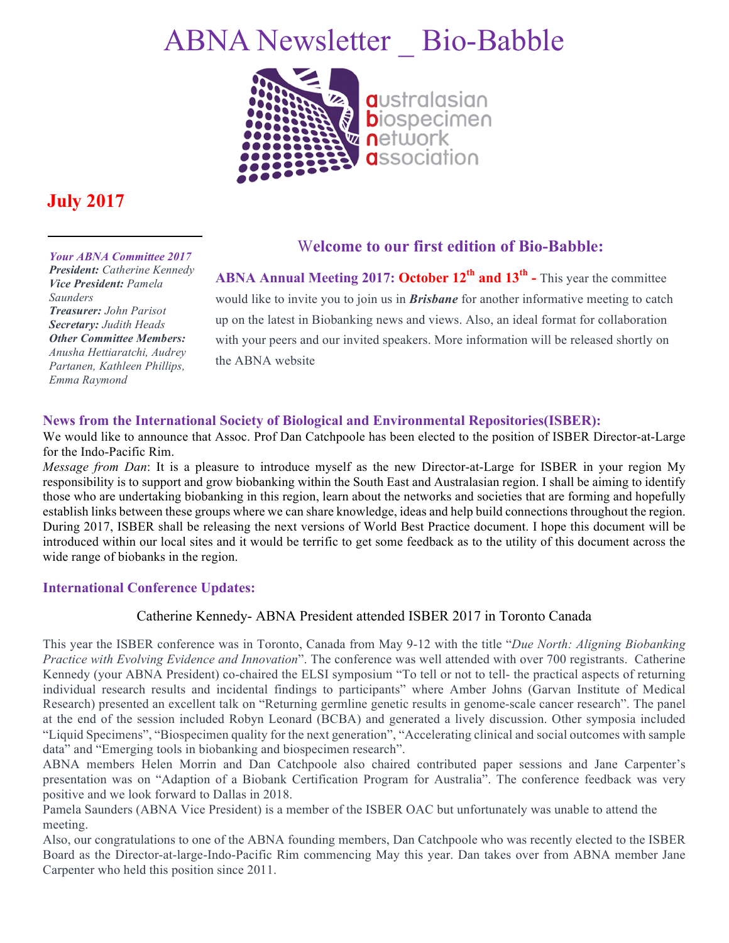# ABNA Newsletter \_ Bio-Babble



## **July 2017**

*Your ABNA Committee 2017* 

*President: Catherine Kennedy Vice President: Pamela Saunders Treasurer: John Parisot Secretary: Judith Heads Other Committee Members: Anusha Hettiaratchi, Audrey Partanen, Kathleen Phillips, Emma Raymond*

### W**elcome to our first edition of Bio-Babble:**

**ABNA Annual Meeting 2017: October 12th and 13th -** This year the committee would like to invite you to join us in *Brisbane* for another informative meeting to catch up on the latest in Biobanking news and views. Also, an ideal format for collaboration with your peers and our invited speakers. More information will be released shortly on the ABNA website

#### **News from the International Society of Biological and Environmental Repositories(ISBER):**

We would like to announce that Assoc. Prof Dan Catchpoole has been elected to the position of ISBER Director-at-Large for the Indo-Pacific Rim.

*Message from Dan*: It is a pleasure to introduce myself as the new Director-at-Large for ISBER in your region My responsibility is to support and grow biobanking within the South East and Australasian region. I shall be aiming to identify those who are undertaking biobanking in this region, learn about the networks and societies that are forming and hopefully establish links between these groups where we can share knowledge, ideas and help build connections throughout the region. During 2017, ISBER shall be releasing the next versions of World Best Practice document. I hope this document will be introduced within our local sites and it would be terrific to get some feedback as to the utility of this document across the wide range of biobanks in the region.

#### **International Conference Updates:**

#### Catherine Kennedy- ABNA President attended ISBER 2017 in Toronto Canada

This year the ISBER conference was in Toronto, Canada from May 9-12 with the title "*Due North: Aligning Biobanking Practice with Evolving Evidence and Innovation*". The conference was well attended with over 700 registrants. Catherine Kennedy (your ABNA President) co-chaired the ELSI symposium "To tell or not to tell- the practical aspects of returning individual research results and incidental findings to participants" where Amber Johns (Garvan Institute of Medical Research) presented an excellent talk on "Returning germline genetic results in genome-scale cancer research". The panel at the end of the session included Robyn Leonard (BCBA) and generated a lively discussion. Other symposia included "Liquid Specimens", "Biospecimen quality for the next generation", "Accelerating clinical and social outcomes with sample data" and "Emerging tools in biobanking and biospecimen research".

ABNA members Helen Morrin and Dan Catchpoole also chaired contributed paper sessions and Jane Carpenter's presentation was on "Adaption of a Biobank Certification Program for Australia". The conference feedback was very positive and we look forward to Dallas in 2018.

Pamela Saunders (ABNA Vice President) is a member of the ISBER OAC but unfortunately was unable to attend the meeting.

Also, our congratulations to one of the ABNA founding members, Dan Catchpoole who was recently elected to the ISBER Board as the Director-at-large-Indo-Pacific Rim commencing May this year. Dan takes over from ABNA member Jane Carpenter who held this position since 2011.